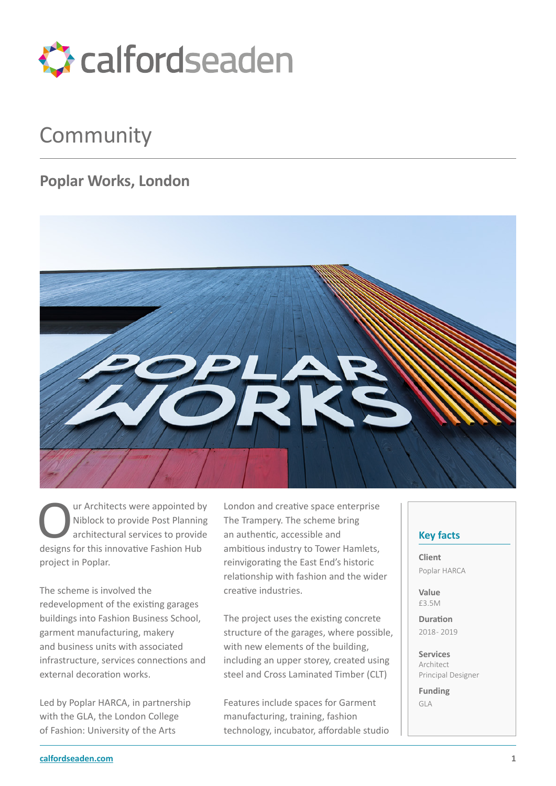

## Community

## **Poplar Works, London**



ur Architects were appointed by Niblock to provide Post Planning architectural services to provide designs for this innovative Fashion Hub project in Poplar.

The scheme is involved the redevelopment of the existing garages buildings into Fashion Business School, garment manufacturing, makery and business units with associated infrastructure, services connections and external decoration works.

Led by Poplar HARCA, in partnership with the GLA, the London College of Fashion: University of the Arts

London and creative space enterprise The Trampery. The scheme bring an authentic, accessible and ambitious industry to Tower Hamlets, reinvigorating the East End's historic relationship with fashion and the wider creative industries.

The project uses the existing concrete structure of the garages, where possible, with new elements of the building, including an upper storey, created using steel and Cross Laminated Timber (CLT)

Features include spaces for Garment manufacturing, training, fashion technology, incubator, affordable studio

## **Key facts**

**Client** Poplar HARCA

**Value** £3.5M

**Duration** 2018 - 2019

**Services** Architect Principal Designer

**Funding** GLA